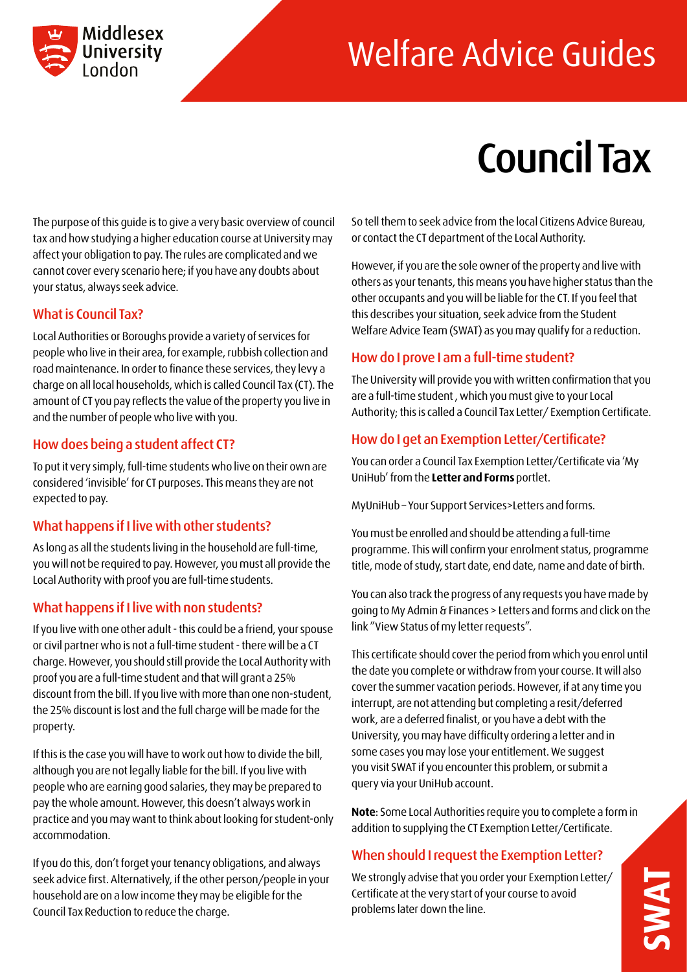

## Welfare Advice Guides

# Council Tax

The purpose of this guide is to give a very basic overview of council tax and how studying a higher education course at University may affect your obligation to pay. The rules are complicated and we cannot cover every scenario here; if you have any doubts about your status, always seek advice.

#### What is Council Tax?

Local Authorities or Boroughs provide a variety of services for people who live in their area, for example, rubbish collection and road maintenance. In order to finance these services, they levy a charge on all local households, which is called Council Tax (CT). The amount of CT you pay reflects the value of the property you live in and the number of people who live with you.

#### How does being a student affect CT?

To put it very simply, full-time students who live on their own are considered 'invisible' for CT purposes. This means they are not expected to pay.

#### What happens if I live with other students?

As long as all the students living in the household are full-time, you will not be required to pay. However, you must all provide the Local Authority with proof you are full-time students.

#### What happens if I live with non students?

If you live with one other adult - this could be a friend, your spouse or civil partner who is not a full-time student - there will be a CT charge. However, you should still provide the Local Authority with proof you are a full-time student and that will grant a 25% discount from the bill. If you live with more than one non-student, the 25% discount is lost and the full charge will be made for the property.

If this is the case you will have to work out how to divide the bill, although you are not legally liable for the bill. If you live with people who are earning good salaries, they may be prepared to pay the whole amount. However, this doesn't always work in practice and you may want to think about looking for student-only accommodation.

If you do this, don't forget your tenancy obligations, and always seek advice first. Alternatively, if the other person/people in your household are on a low income they may be eligible for the Council Tax Reduction to reduce the charge.

So tell them to seek advice from the local Citizens Advice Bureau, or contact the CT department of the Local Authority.

However, if you are the sole owner of the property and live with others as your tenants, this means you have higher status than the other occupants and you will be liable for the CT. If you feel that this describes your situation, seek advice from the Student Welfare Advice Team (SWAT) as you may qualify for a reduction.

#### How do I prove I am a full-time student?

The University will provide you with written confirmation that you are a full-time student , which you must give to your Local Authority; this is called a Council Tax Letter/ Exemption Certificate.

#### How do I get an Exemption Letter/Certificate?

You can order a Council Tax Exemption Letter/Certificate via 'My UniHub' from the **Letter and Forms** portlet.

MyUniHub – Your Support Services>Letters and forms.

You must be enrolled and should be attending a full-time programme. This will confirm your enrolment status, programme title, mode of study, start date, end date, name and date of birth.

You can also track the progress of any requests you have made by going to My Admin & Finances > Letters and forms and click on the link "View Status of my letter requests".

This certificate should cover the period from which you enrol until the date you complete or withdraw from your course. It will also cover the summer vacation periods. However, if at any time you interrupt, are not attending but completing a resit/deferred work, are a deferred finalist, or you have a debt with the University, you may have difficulty ordering a letter and in some cases you may lose your entitlement. We suggest you visit SWAT if you encounter this problem, or submit a query via your UniHub account.

**Note**: Some Local Authorities require you to complete a form in addition to supplying the CT Exemption Letter/Certificate.

#### When should I request the Exemption Letter?

We strongly advise that you order your Exemption Letter/ Certificate at the very start of your course to avoid problems later down the line.

**SWAT**